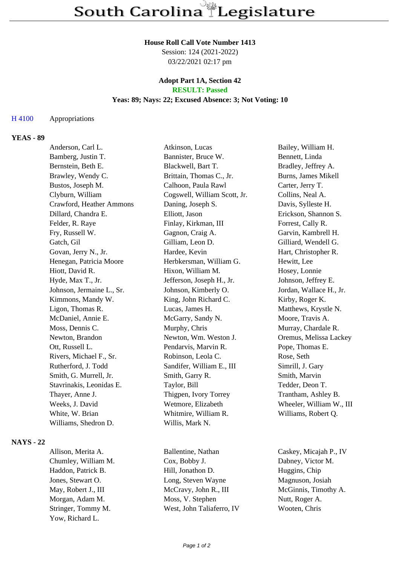#### **House Roll Call Vote Number 1413**

Session: 124 (2021-2022) 03/22/2021 02:17 pm

#### **Adopt Part 1A, Section 42 RESULT: Passed**

# **Yeas: 89; Nays: 22; Excused Absence: 3; Not Voting: 10**

### H 4100 Appropriations

# **YEAS - 89**

| Anderson, Carl L.         | Atkinson, Lucas              | Bailey, William H.       |
|---------------------------|------------------------------|--------------------------|
| Bamberg, Justin T.        | Bannister, Bruce W.          | Bennett, Linda           |
| Bernstein, Beth E.        | Blackwell, Bart T.           | Bradley, Jeffrey A.      |
| Brawley, Wendy C.         | Brittain, Thomas C., Jr.     | Burns, James Mikell      |
| Bustos, Joseph M.         | Calhoon, Paula Rawl          | Carter, Jerry T.         |
| Clyburn, William          | Cogswell, William Scott, Jr. | Collins, Neal A.         |
| Crawford, Heather Ammons  | Daning, Joseph S.            | Davis, Sylleste H.       |
| Dillard, Chandra E.       | Elliott, Jason               | Erickson, Shannon S.     |
| Felder, R. Raye           | Finlay, Kirkman, III         | Forrest, Cally R.        |
| Fry, Russell W.           | Gagnon, Craig A.             | Garvin, Kambrell H.      |
| Gatch, Gil                | Gilliam, Leon D.             | Gilliard, Wendell G.     |
| Govan, Jerry N., Jr.      | Hardee, Kevin                | Hart, Christopher R.     |
| Henegan, Patricia Moore   | Herbkersman, William G.      | Hewitt, Lee              |
| Hiott, David R.           | Hixon, William M.            | Hosey, Lonnie            |
| Hyde, Max T., Jr.         | Jefferson, Joseph H., Jr.    | Johnson, Jeffrey E.      |
| Johnson, Jermaine L., Sr. | Johnson, Kimberly O.         | Jordan, Wallace H., Jr.  |
| Kimmons, Mandy W.         | King, John Richard C.        | Kirby, Roger K.          |
| Ligon, Thomas R.          | Lucas, James H.              | Matthews, Krystle N.     |
| McDaniel, Annie E.        | McGarry, Sandy N.            | Moore, Travis A.         |
| Moss, Dennis C.           | Murphy, Chris                | Murray, Chardale R.      |
| Newton, Brandon           | Newton, Wm. Weston J.        | Oremus, Melissa Lackey   |
| Ott, Russell L.           | Pendarvis, Marvin R.         | Pope, Thomas E.          |
| Rivers, Michael F., Sr.   | Robinson, Leola C.           | Rose, Seth               |
| Rutherford, J. Todd       | Sandifer, William E., III    | Simrill, J. Gary         |
| Smith, G. Murrell, Jr.    | Smith, Garry R.              | Smith, Marvin            |
| Stavrinakis, Leonidas E.  | Taylor, Bill                 | Tedder, Deon T.          |
| Thayer, Anne J.           | Thigpen, Ivory Torrey        | Trantham, Ashley B.      |
| Weeks, J. David           | Wetmore, Elizabeth           | Wheeler, William W., III |
| White, W. Brian           | Whitmire, William R.         | Williams, Robert Q.      |
| Williams, Shedron D.      | Willis, Mark N.              |                          |
|                           |                              |                          |

## **NAYS - 22**

Yow, Richard L.

Chumley, William M. Cox, Bobby J. Dabney, Victor M. Haddon, Patrick B. Hill, Jonathon D. Huggins, Chip Jones, Stewart O. Long, Steven Wayne Magnuson, Josiah May, Robert J., III McCravy, John R., III McGinnis, Timothy A. Morgan, Adam M. Moss, V. Stephen Nutt, Roger A. Stringer, Tommy M. West, John Taliaferro, IV Wooten, Chris

Allison, Merita A. Ballentine, Nathan Caskey, Micajah P., IV